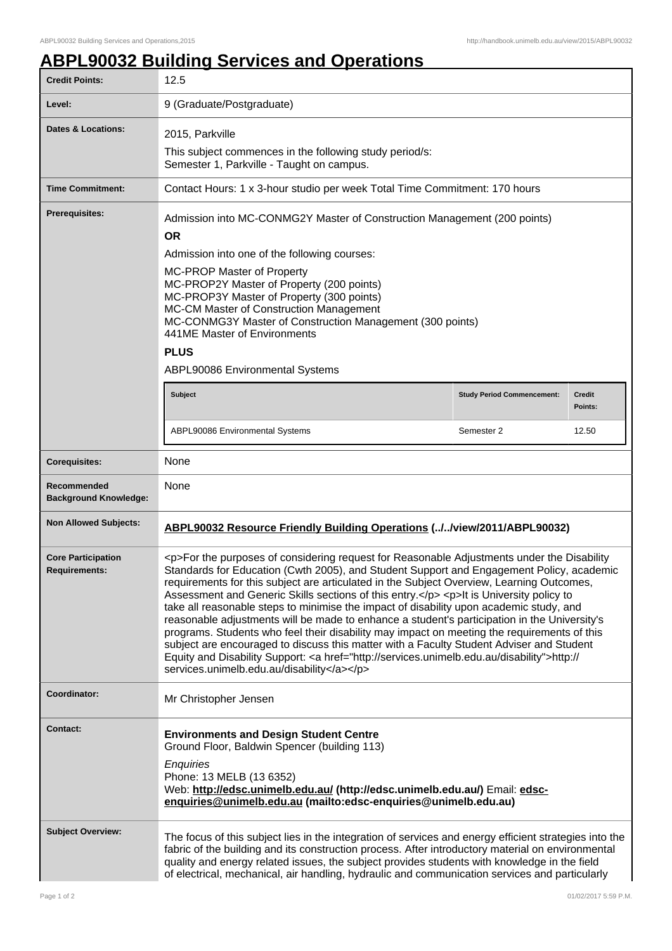## **ABPL90032 Building Services and Operations**

| <b>Credit Points:</b>                             | 12.5                                                                                                                                                                                                                                                                                                                                                                                                                                                                                                                                                                                                                                                                                                                                                                                                                                                                                                                         |                                   |                          |
|---------------------------------------------------|------------------------------------------------------------------------------------------------------------------------------------------------------------------------------------------------------------------------------------------------------------------------------------------------------------------------------------------------------------------------------------------------------------------------------------------------------------------------------------------------------------------------------------------------------------------------------------------------------------------------------------------------------------------------------------------------------------------------------------------------------------------------------------------------------------------------------------------------------------------------------------------------------------------------------|-----------------------------------|--------------------------|
| Level:                                            | 9 (Graduate/Postgraduate)                                                                                                                                                                                                                                                                                                                                                                                                                                                                                                                                                                                                                                                                                                                                                                                                                                                                                                    |                                   |                          |
| <b>Dates &amp; Locations:</b>                     | 2015, Parkville<br>This subject commences in the following study period/s:<br>Semester 1, Parkville - Taught on campus.                                                                                                                                                                                                                                                                                                                                                                                                                                                                                                                                                                                                                                                                                                                                                                                                      |                                   |                          |
| <b>Time Commitment:</b>                           | Contact Hours: 1 x 3-hour studio per week Total Time Commitment: 170 hours                                                                                                                                                                                                                                                                                                                                                                                                                                                                                                                                                                                                                                                                                                                                                                                                                                                   |                                   |                          |
| Prerequisites:                                    | Admission into MC-CONMG2Y Master of Construction Management (200 points)<br><b>OR</b><br>Admission into one of the following courses:<br>MC-PROP Master of Property<br>MC-PROP2Y Master of Property (200 points)<br>MC-PROP3Y Master of Property (300 points)<br>MC-CM Master of Construction Management<br>MC-CONMG3Y Master of Construction Management (300 points)<br>441ME Master of Environments<br><b>PLUS</b><br>ABPL90086 Environmental Systems                                                                                                                                                                                                                                                                                                                                                                                                                                                                      |                                   |                          |
|                                                   | Subject                                                                                                                                                                                                                                                                                                                                                                                                                                                                                                                                                                                                                                                                                                                                                                                                                                                                                                                      | <b>Study Period Commencement:</b> | <b>Credit</b><br>Points: |
|                                                   | ABPL90086 Environmental Systems                                                                                                                                                                                                                                                                                                                                                                                                                                                                                                                                                                                                                                                                                                                                                                                                                                                                                              | Semester 2                        | 12.50                    |
| <b>Corequisites:</b>                              | None                                                                                                                                                                                                                                                                                                                                                                                                                                                                                                                                                                                                                                                                                                                                                                                                                                                                                                                         |                                   |                          |
| Recommended<br><b>Background Knowledge:</b>       | None                                                                                                                                                                                                                                                                                                                                                                                                                                                                                                                                                                                                                                                                                                                                                                                                                                                                                                                         |                                   |                          |
| <b>Non Allowed Subjects:</b>                      | ABPL90032 Resource Friendly Building Operations (//view/2011/ABPL90032)                                                                                                                                                                                                                                                                                                                                                                                                                                                                                                                                                                                                                                                                                                                                                                                                                                                      |                                   |                          |
| <b>Core Participation</b><br><b>Requirements:</b> | <p>For the purposes of considering request for Reasonable Adjustments under the Disability<br/>Standards for Education (Cwth 2005), and Student Support and Engagement Policy, academic<br/>requirements for this subject are articulated in the Subject Overview, Learning Outcomes,<br/>Assessment and Generic Skills sections of this entry.</p> <p>lt is University policy to<br/>take all reasonable steps to minimise the impact of disability upon academic study, and<br/>reasonable adjustments will be made to enhance a student's participation in the University's<br/>programs. Students who feel their disability may impact on meeting the requirements of this<br/>subject are encouraged to discuss this matter with a Faculty Student Adviser and Student<br/>Equity and Disability Support: &lt; a href="http://services.unimelb.edu.au/disability"&gt;http://<br/>services.unimelb.edu.au/disability</p> |                                   |                          |
| Coordinator:                                      | Mr Christopher Jensen                                                                                                                                                                                                                                                                                                                                                                                                                                                                                                                                                                                                                                                                                                                                                                                                                                                                                                        |                                   |                          |
| <b>Contact:</b>                                   | <b>Environments and Design Student Centre</b><br>Ground Floor, Baldwin Spencer (building 113)<br>Enquiries<br>Phone: 13 MELB (13 6352)<br>Web: http://edsc.unimelb.edu.au/ (http://edsc.unimelb.edu.au/) Email: edsc-<br>enquiries@unimelb.edu.au (mailto:edsc-enquiries@unimelb.edu.au)                                                                                                                                                                                                                                                                                                                                                                                                                                                                                                                                                                                                                                     |                                   |                          |
| <b>Subject Overview:</b>                          | The focus of this subject lies in the integration of services and energy efficient strategies into the<br>fabric of the building and its construction process. After introductory material on environmental<br>quality and energy related issues, the subject provides students with knowledge in the field<br>of electrical, mechanical, air handling, hydraulic and communication services and particularly                                                                                                                                                                                                                                                                                                                                                                                                                                                                                                                |                                   |                          |